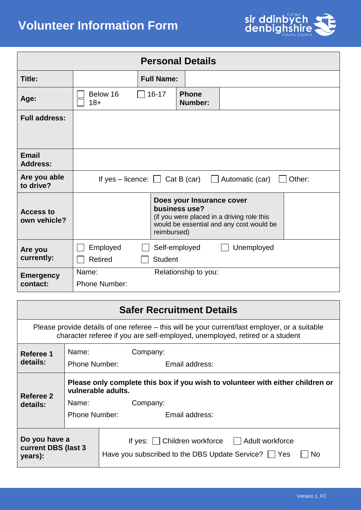

| <b>Personal Details</b>          |                                      |                |                                            |                                                                                        |        |
|----------------------------------|--------------------------------------|----------------|--------------------------------------------|----------------------------------------------------------------------------------------|--------|
| Title:                           | <b>Full Name:</b>                    |                |                                            |                                                                                        |        |
| Age:                             | Below 16<br>$18+$                    | $16 - 17$      | <b>Phone</b><br>Number:                    |                                                                                        |        |
| <b>Full address:</b>             |                                      |                |                                            |                                                                                        |        |
| <b>Email</b>                     |                                      |                |                                            |                                                                                        |        |
| <b>Address:</b>                  |                                      |                |                                            |                                                                                        |        |
| Are you able<br>to drive?        | If yes – licence: $\Box$ Cat B (car) |                |                                            | Automatic (car)                                                                        | Other: |
| <b>Access to</b><br>own vehicle? |                                      | reimbursed)    | Does your Insurance cover<br>business use? | (if you were placed in a driving role this<br>would be essential and any cost would be |        |
| Are you<br>currently:            | Employed<br><b>Retired</b>           | <b>Student</b> | Self-employed                              | Unemployed                                                                             |        |
| <b>Emergency</b><br>contact:     | Name:<br>Phone Number:               |                | Relationship to you:                       |                                                                                        |        |

| <b>Safer Recruitment Details</b>                                                                                                                                               |                                                                                                      |                                                                                                                                  |  |  |
|--------------------------------------------------------------------------------------------------------------------------------------------------------------------------------|------------------------------------------------------------------------------------------------------|----------------------------------------------------------------------------------------------------------------------------------|--|--|
| Please provide details of one referee – this will be your current/last employer, or a suitable<br>character referee if you are self-employed, unemployed, retired or a student |                                                                                                      |                                                                                                                                  |  |  |
| Referee 1<br>details:                                                                                                                                                          | Name:<br>Company:<br><b>Phone Number:</b><br>Email address:                                          |                                                                                                                                  |  |  |
| Referee 2<br>details:                                                                                                                                                          | Please only complete this box if you wish to volunteer with either children or<br>vulnerable adults. |                                                                                                                                  |  |  |
|                                                                                                                                                                                | Name:<br><b>Phone Number:</b>                                                                        | Company:<br>Email address:                                                                                                       |  |  |
| Do you have a<br>current DBS (last 3<br>years):                                                                                                                                |                                                                                                      | If yes: $\vert$ $\vert$ Children workforce<br>  Adult workforce<br>Have you subscribed to the DBS Update Service?     Yes<br>No. |  |  |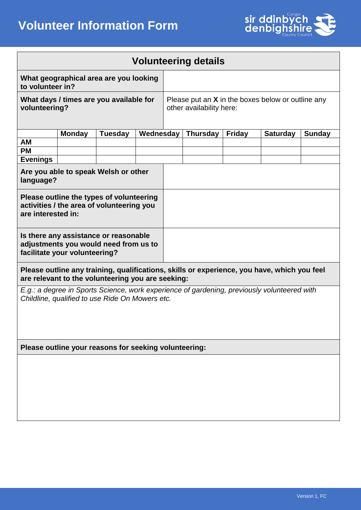

## **Volunteering details**

| What geographical area are you looking<br>to volunteer in? |                                                     |
|------------------------------------------------------------|-----------------------------------------------------|
| What days / times are you available for                    | Please put an $X$ in the boxes below or outline any |
| volunteering?                                              | other availability here:                            |

|                                                   | <b>Monday</b> | <b>Tuesday</b> | Wednesday | <b>Thursday</b> | <b>Fridav</b> | <b>Saturday</b> | <b>Sunday</b> |
|---------------------------------------------------|---------------|----------------|-----------|-----------------|---------------|-----------------|---------------|
| AM                                                |               |                |           |                 |               |                 |               |
| <b>PM</b>                                         |               |                |           |                 |               |                 |               |
| <b>Evenings</b>                                   |               |                |           |                 |               |                 |               |
| Are you able to speak Welsh or other<br>language? |               |                |           |                 |               |                 |               |

| 101190090                                                                                                       |  |
|-----------------------------------------------------------------------------------------------------------------|--|
| Please outline the types of volunteering<br>activities / the area of volunteering you<br>are interested in:     |  |
| Is there any assistance or reasonable<br>adjustments you would need from us to<br>facilitate your volunteering? |  |

**Please outline any training, qualifications, skills or experience, you have, which you feel are relevant to the volunteering you are seeking:**

*E.g.: a degree in Sports Science, work experience of gardening, previously volunteered with Childline, qualified to use Ride On Mowers etc.*

**Please outline your reasons for seeking volunteering:**